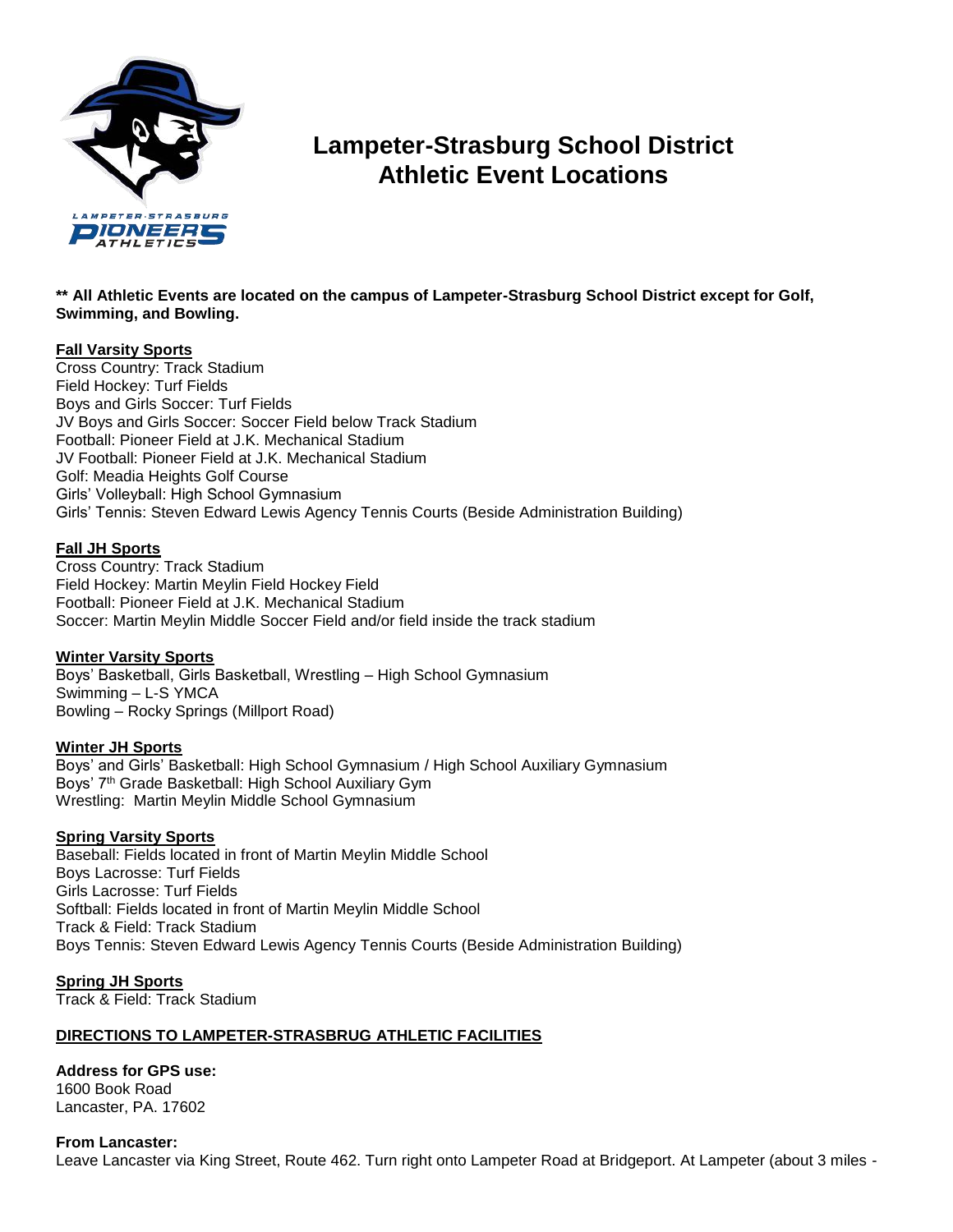

# **Lampeter-Strasburg School District Athletic Event Locations**

# **\*\* All Athletic Events are located on the campus of Lampeter-Strasburg School District except for Golf, Swimming, and Bowling.**

# **Fall Varsity Sports**

Cross Country: Track Stadium Field Hockey: Turf Fields Boys and Girls Soccer: Turf Fields JV Boys and Girls Soccer: Soccer Field below Track Stadium Football: Pioneer Field at J.K. Mechanical Stadium JV Football: Pioneer Field at J.K. Mechanical Stadium Golf: Meadia Heights Golf Course Girls' Volleyball: High School Gymnasium Girls' Tennis: Steven Edward Lewis Agency Tennis Courts (Beside Administration Building)

# **Fall JH Sports**

Cross Country: Track Stadium Field Hockey: Martin Meylin Field Hockey Field Football: Pioneer Field at J.K. Mechanical Stadium Soccer: Martin Meylin Middle Soccer Field and/or field inside the track stadium

# **Winter Varsity Sports**

Boys' Basketball, Girls Basketball, Wrestling – High School Gymnasium Swimming – L-S YMCA Bowling – Rocky Springs (Millport Road)

# **Winter JH Sports**

Boys' and Girls' Basketball: High School Gymnasium / High School Auxiliary Gymnasium Boys' 7th Grade Basketball: High School Auxiliary Gym Wrestling: Martin Meylin Middle School Gymnasium

#### **Spring Varsity Sports**

Baseball: Fields located in front of Martin Meylin Middle School Boys Lacrosse: Turf Fields Girls Lacrosse: Turf Fields Softball: Fields located in front of Martin Meylin Middle School Track & Field: Track Stadium Boys Tennis: Steven Edward Lewis Agency Tennis Courts (Beside Administration Building)

**Spring JH Sports** Track & Field: Track Stadium

# **DIRECTIONS TO LAMPETER-STRASBRUG ATHLETIC FACILITIES**

#### **Address for GPS use:** 1600 Book Road Lancaster, PA. 17602

**From Lancaster:**  Leave Lancaster via King Street, Route 462. Turn right onto Lampeter Road at Bridgeport. At Lampeter (about 3 miles -